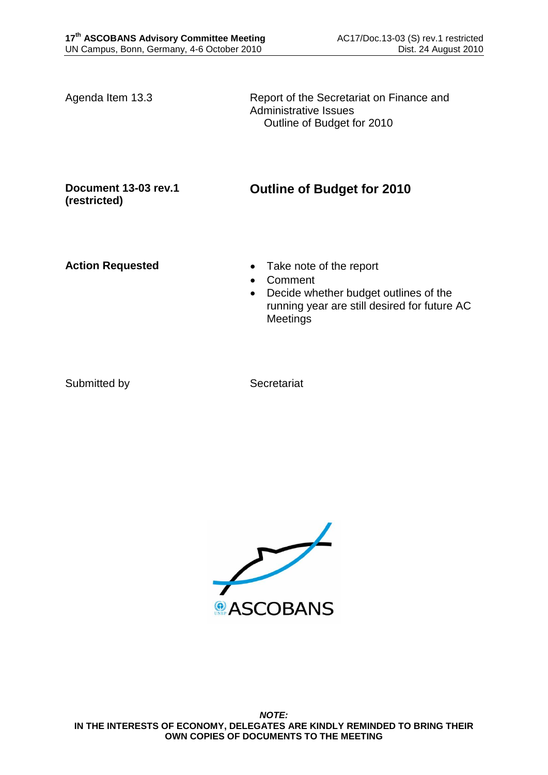Agenda Item 13.3 Report of the Secretariat on Finance and Administrative Issues Outline of Budget for 2010

## **Document 13-03 rev.1 (restricted)**

**Outline of Budget for 2010**

- Action Requested **Take note of the report** 
	- Comment
	- Decide whether budget outlines of the running year are still desired for future AC **Meetings**

Submitted by Secretariat

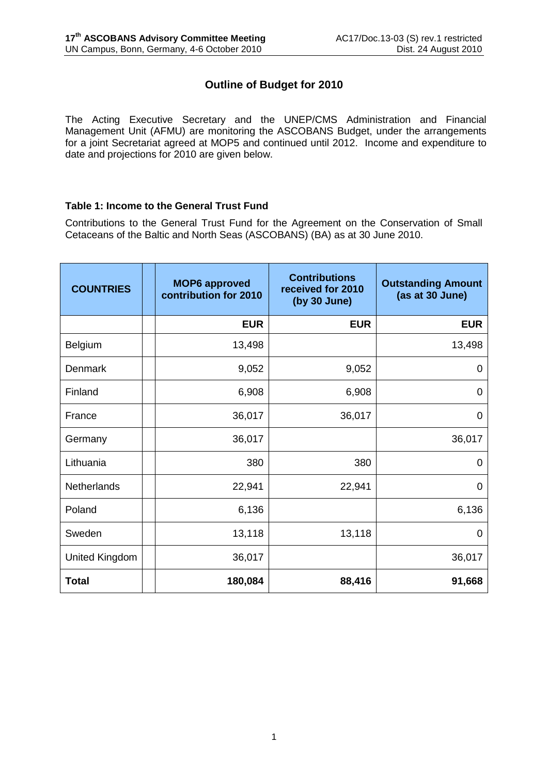## **Outline of Budget for 2010**

The Acting Executive Secretary and the UNEP/CMS Administration and Financial Management Unit (AFMU) are monitoring the ASCOBANS Budget, under the arrangements for a joint Secretariat agreed at MOP5 and continued until 2012. Income and expenditure to date and projections for 2010 are given below.

## **Table 1: Income to the General Trust Fund**

Contributions to the General Trust Fund for the Agreement on the Conservation of Small Cetaceans of the Baltic and North Seas (ASCOBANS) (BA) as at 30 June 2010.

| <b>COUNTRIES</b> | <b>MOP6 approved</b><br>contribution for 2010 | <b>Contributions</b><br>received for 2010<br>(by 30 June) | <b>Outstanding Amount</b><br>(as at 30 June) |  |
|------------------|-----------------------------------------------|-----------------------------------------------------------|----------------------------------------------|--|
|                  | <b>EUR</b>                                    | <b>EUR</b>                                                | <b>EUR</b>                                   |  |
| <b>Belgium</b>   | 13,498                                        |                                                           | 13,498                                       |  |
| Denmark          | 9,052                                         | 9,052                                                     | 0                                            |  |
| Finland          | 6,908                                         | 6,908                                                     | 0                                            |  |
| France           | 36,017                                        | 36,017                                                    | 0                                            |  |
| Germany          | 36,017                                        |                                                           | 36,017                                       |  |
| Lithuania        | 380                                           | 380                                                       | 0                                            |  |
| Netherlands      | 22,941                                        | 22,941                                                    | $\Omega$                                     |  |
| Poland           | 6,136                                         |                                                           | 6,136                                        |  |
| Sweden           | 13,118                                        | 13,118                                                    | 0                                            |  |
| United Kingdom   | 36,017                                        |                                                           | 36,017                                       |  |
| <b>Total</b>     | 180,084                                       | 88,416                                                    | 91,668                                       |  |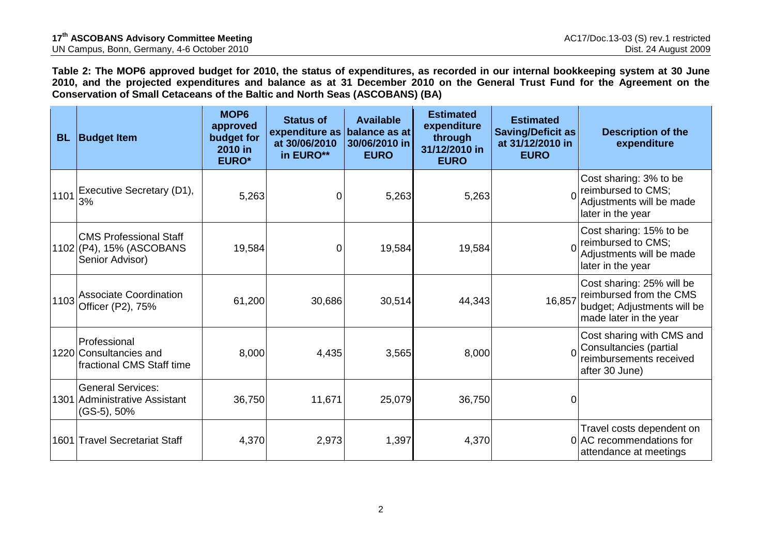**Table 2: The MOP6 approved budget for 2010, the status of expenditures, as recorded in our internal bookkeeping system at 30 June 2010, and the projected expenditures and balance as at 31 December 2010 on the General Trust Fund for the Agreement on the Conservation of Small Cetaceans of the Baltic and North Seas (ASCOBANS) (BA)**

| <b>BL</b> | <b>Budget Item</b>                                                           | MOP <sub>6</sub><br>approved<br>budget for<br>2010 in<br><b>EURO*</b> | <b>Status of</b><br>expenditure as<br>at 30/06/2010<br>in EURO** | <b>Available</b><br>balance as at<br>30/06/2010 in<br><b>EURO</b> | <b>Estimated</b><br>expenditure<br>through<br>31/12/2010 in<br><b>EURO</b> | <b>Estimated</b><br><b>Saving/Deficit as</b><br>at 31/12/2010 in<br><b>EURO</b> | <b>Description of the</b><br>expenditure                                                                      |
|-----------|------------------------------------------------------------------------------|-----------------------------------------------------------------------|------------------------------------------------------------------|-------------------------------------------------------------------|----------------------------------------------------------------------------|---------------------------------------------------------------------------------|---------------------------------------------------------------------------------------------------------------|
| 1101      | Executive Secretary (D1),<br>3%                                              | 5,263                                                                 | 0                                                                | 5,263                                                             | 5,263                                                                      |                                                                                 | Cost sharing: 3% to be<br>reimbursed to CMS;<br>Adjustments will be made<br>later in the year                 |
|           | <b>CMS Professional Staff</b><br>1102 (P4), 15% (ASCOBANS<br>Senior Advisor) | 19,584                                                                | $\mathbf 0$                                                      | 19,584                                                            | 19,584                                                                     |                                                                                 | Cost sharing: 15% to be<br>reimbursed to CMS;<br>Adjustments will be made<br>later in the year                |
| 1103      | Associate Coordination<br>Officer (P2), 75%                                  | 61,200                                                                | 30,686                                                           | 30,514                                                            | 44,343                                                                     | 16,857                                                                          | Cost sharing: 25% will be<br>reimbursed from the CMS<br>budget; Adjustments will be<br>made later in the year |
|           | Professional<br>1220 Consultancies and<br>fractional CMS Staff time          | 8,000                                                                 | 4,435                                                            | 3,565                                                             | 8,000                                                                      |                                                                                 | Cost sharing with CMS and<br>Consultancies (partial<br>reimbursements received<br>after 30 June)              |
|           | <b>General Services:</b><br>1301 Administrative Assistant<br>$(GS-5), 50%$   | 36,750                                                                | 11,671                                                           | 25,079                                                            | 36,750                                                                     | 0                                                                               |                                                                                                               |
|           | 1601 Travel Secretariat Staff                                                | 4,370                                                                 | 2,973                                                            | 1,397                                                             | 4,370                                                                      |                                                                                 | Travel costs dependent on<br>0 AC recommendations for<br>attendance at meetings                               |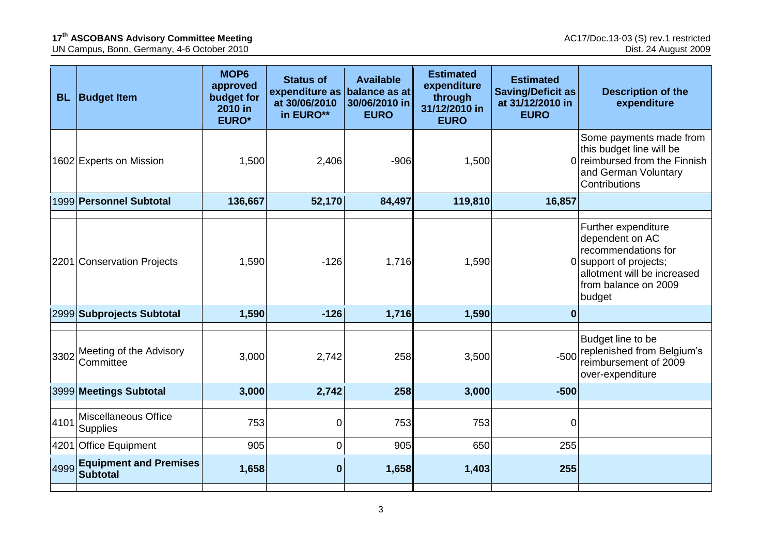UN Campus, Bonn, Germany, 4-6 October 2010 Dist. 24 August 2009

| <b>BL</b> | <b>Budget Item</b>                             | MOP <sub>6</sub><br>approved<br>budget for<br>2010 in<br><b>EURO*</b> | <b>Status of</b><br>expenditure as<br>at 30/06/2010<br>in EURO** | <b>Available</b><br>balance as at<br>30/06/2010 in<br><b>EURO</b> | <b>Estimated</b><br>expenditure<br>through<br>31/12/2010 in<br><b>EURO</b> | <b>Estimated</b><br><b>Saving/Deficit as</b><br>at 31/12/2010 in<br><b>EURO</b> | <b>Description of the</b><br>expenditure                                                                                                                 |
|-----------|------------------------------------------------|-----------------------------------------------------------------------|------------------------------------------------------------------|-------------------------------------------------------------------|----------------------------------------------------------------------------|---------------------------------------------------------------------------------|----------------------------------------------------------------------------------------------------------------------------------------------------------|
|           | 1602 Experts on Mission                        | 1,500                                                                 | 2,406                                                            | $-906$                                                            | 1,500                                                                      |                                                                                 | Some payments made from<br>this budget line will be<br>0 reimbursed from the Finnish<br>and German Voluntary<br>Contributions                            |
|           | 1999 Personnel Subtotal                        | 136,667                                                               | 52,170                                                           | 84,497                                                            | 119,810                                                                    | 16,857                                                                          |                                                                                                                                                          |
|           | 2201 Conservation Projects                     | 1,590                                                                 | $-126$                                                           | 1,716                                                             | 1,590                                                                      |                                                                                 | Further expenditure<br>dependent on AC<br>recommendations for<br>0 support of projects;<br>allotment will be increased<br>from balance on 2009<br>budget |
|           | 2999 Subprojects Subtotal                      | 1,590                                                                 | $-126$                                                           | 1,716                                                             | 1,590                                                                      | 0                                                                               |                                                                                                                                                          |
| 3302      | Meeting of the Advisory<br>Committee           | 3,000                                                                 | 2,742                                                            | 258                                                               | 3,500                                                                      | $-500$                                                                          | Budget line to be<br>replenished from Belgium's<br>reimbursement of 2009<br>over-expenditure                                                             |
|           | 3999 Meetings Subtotal                         | 3,000                                                                 | 2,742                                                            | 258                                                               | 3,000                                                                      | $-500$                                                                          |                                                                                                                                                          |
| 4101      | Miscellaneous Office<br>Supplies               | 753                                                                   | $\overline{0}$                                                   | 753                                                               | 753                                                                        | 0                                                                               |                                                                                                                                                          |
|           | 4201 Office Equipment                          | 905                                                                   | $\mathbf 0$                                                      | 905                                                               | 650                                                                        | 255                                                                             |                                                                                                                                                          |
|           | 4999 Equipment and Premises<br><b>Subtotal</b> | 1,658                                                                 | $\boldsymbol{0}$                                                 | 1,658                                                             | 1,403                                                                      | 255                                                                             |                                                                                                                                                          |